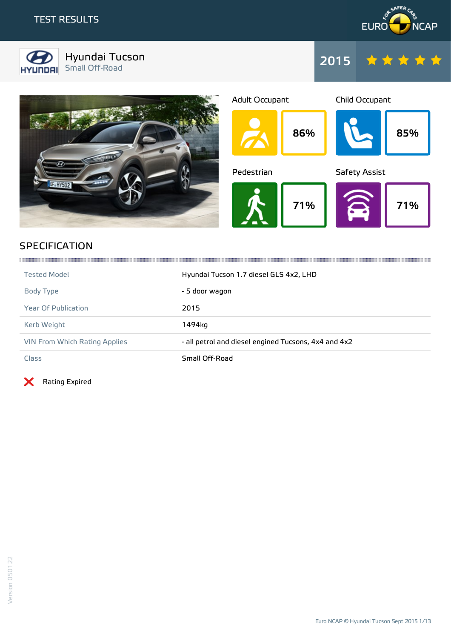



Hyundai Tucson Small Off-Road 2015







## **SPECIFICATION**

| <b>Tested Model</b>                  | Hyundai Tucson 1.7 diesel GLS 4x2, LHD               |
|--------------------------------------|------------------------------------------------------|
| Body Type                            | - 5 door wagon                                       |
| <b>Year Of Publication</b>           | 2015                                                 |
| Kerb Weight                          | 1494ka                                               |
| <b>VIN From Which Rating Applies</b> | - all petrol and diesel engined Tucsons, 4x4 and 4x2 |
| Class                                | Small Off-Road                                       |

Rating Expired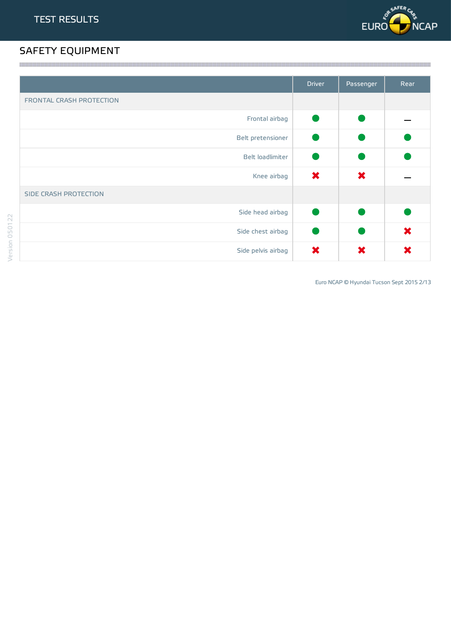

# SAFETY EQUIPMENT

|                          | <b>Driver</b> | Passenger | Rear |
|--------------------------|---------------|-----------|------|
| FRONTAL CRASH PROTECTION |               |           |      |
| Frontal airbag           |               |           |      |
| Belt pretensioner        |               |           |      |
| Belt loadlimiter         |               |           |      |
| Knee airbag              | ×             | ×         |      |
| SIDE CRASH PROTECTION    |               |           |      |
| Side head airbag         |               |           |      |
| Side chest airbag        |               |           | ×    |
| Side pelvis airbag       | ×             | X         | X    |

Euro NCAP © Hyundai Tucson Sept 2015 2/13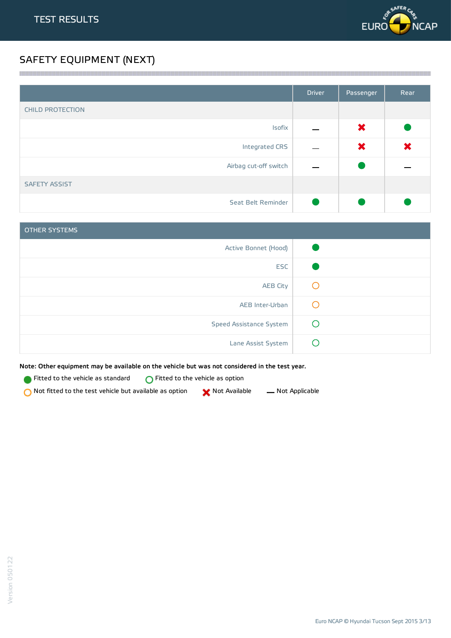

## SAFETY EQUIPMENT (NEXT)

|                         | <b>Driver</b> | Passenger | Rear |
|-------------------------|---------------|-----------|------|
| <b>CHILD PROTECTION</b> |               |           |      |
| Isofix                  |               | ×         |      |
| Integrated CRS          |               | ×         | ×    |
| Airbag cut-off switch   |               |           |      |
| <b>SAFETY ASSIST</b>    |               |           |      |
| Seat Belt Reminder      |               |           |      |

a series and the contract of the contract of the contract of the contract of the contract of the contract of the

| <b>OTHER SYSTEMS</b>    |                                               |
|-------------------------|-----------------------------------------------|
| Active Bonnet (Hood)    |                                               |
| <b>ESC</b>              |                                               |
| <b>AEB City</b>         | $\cup$                                        |
| AEB Inter-Urban         | $\left( \begin{array}{c} \end{array} \right)$ |
| Speed Assistance System |                                               |
| Lane Assist System      |                                               |

Note: Other equipment may be available on the vehicle but was not considered in the test year.

**Fitted to the vehicle as standard**  $\bigcirc$  Fitted to the vehicle as option

 $\bigcirc$  Not fitted to the test vehicle but available as option  $\bigcirc$  Not Available  $\qquad$  Not Applicable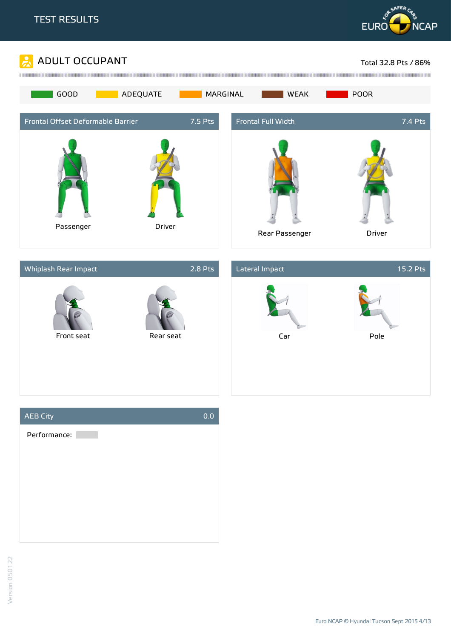





Euro NCAP © Hyundai Tucson Sept 2015 4/13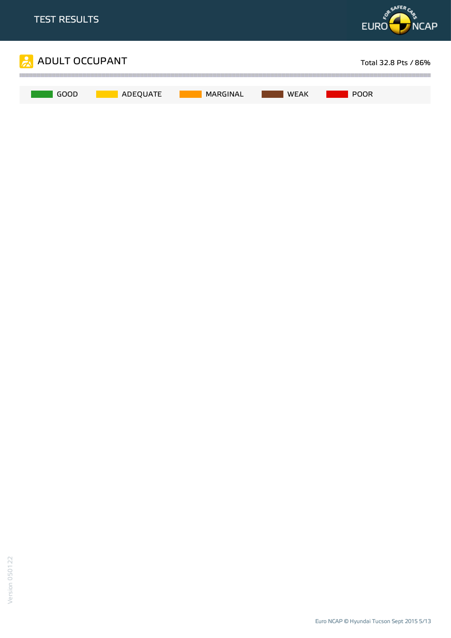

Euro NCAP © Hyundai Tucson Sept 2015 5/13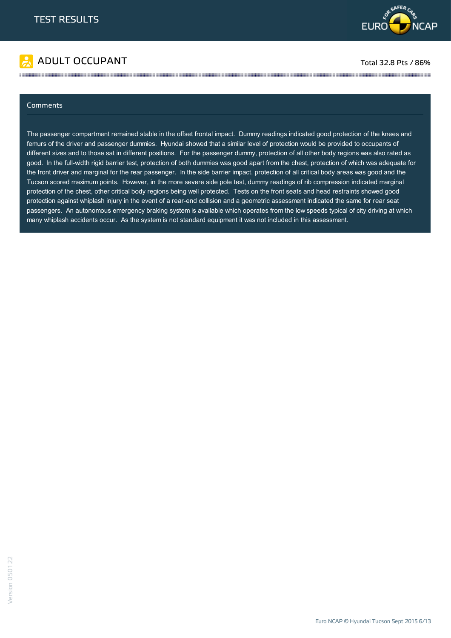

# ADULT OCCUPANT TO A RESERVE TO A RESERVE TO A RESERVE TOTAL 32.8 Pts / 86%

#### Comments

The passenger compartment remained stable in the offset frontal impact. Dummy readings indicated good protection of the knees and femurs of the driver and passenger dummies. Hyundai showed that a similar level of protection would be provided to occupants of different sizes and to those sat in different positions. For the passenger dummy, protection of all other body regions was also rated as good. In the full-width rigid barrier test, protection of both dummies was good apart from the chest, protection of which was adequate for the front driver and marginal for the rear passenger. In the side barrier impact, protection of all critical body areas was good and the Tucson scored maximum points. However, in the more severe side pole test, dummy readings of rib compression indicated marginal protection of the chest, other critical body regions being well protected. Tests on the front seats and head restraints showed good protection against whiplash injury in the event of a rear-end collision and a geometric assessment indicated the same for rear seat passengers. An autonomous emergency braking system is available which operates from the low speeds typical of city driving at which many whiplash accidents occur. As the system is not standard equipment it was not included in this assessment.

the contract of the contract of the contract of the contract of the contract of the contract of the contract of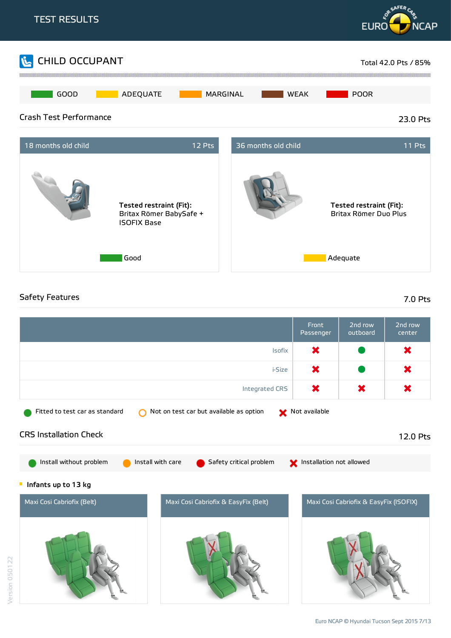

## Safety Features 7.0 Pts

Version 050122

|                                                                                                              | Front<br>Passenger | 2nd row<br>outboard | 2nd row<br>center |  |  |
|--------------------------------------------------------------------------------------------------------------|--------------------|---------------------|-------------------|--|--|
| Isofix                                                                                                       | ×                  |                     | ×                 |  |  |
| i-Size                                                                                                       | ×                  |                     | ×                 |  |  |
| <b>Integrated CRS</b>                                                                                        | ×                  | ×                   | ×                 |  |  |
| Not on test car but available as option<br>Fitted to test car as standard                                    | Not available      |                     |                   |  |  |
| <b>CRS Installation Check</b>                                                                                |                    |                     | 12.0 Pts          |  |  |
| Install without problem<br>Install with care<br>Safety critical problem<br>Installation not allowed          |                    |                     |                   |  |  |
| Infants up to 13 kg                                                                                          |                    |                     |                   |  |  |
| Maxi Cosi Cabriofix (Belt)<br>Maxi Cosi Cabriofix & EasyFix (Belt)<br>Maxi Cosi Cabriofix & EasyFix (ISOFIX) |                    |                     |                   |  |  |
|                                                                                                              |                    |                     |                   |  |  |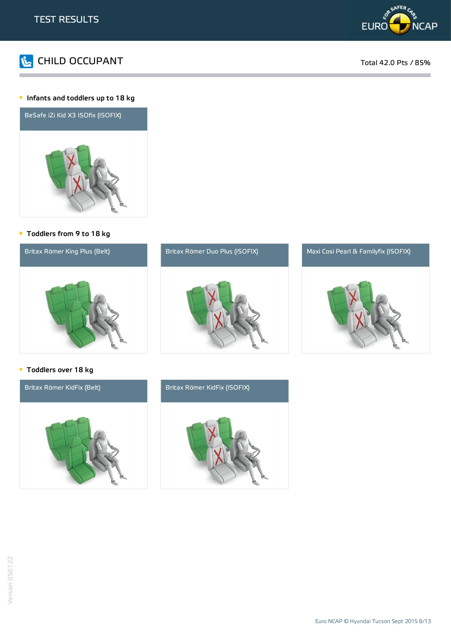



#### **Infants and toddlers up to 18 kg**



#### Toddlers from 9 to 18 kg



### **Toddlers over 18 kg**



Version 050122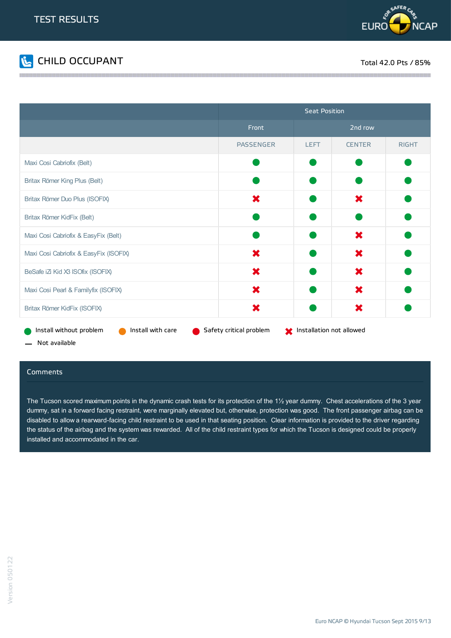



|                                                                                                                       | <b>Seat Position</b> |             |               |              |
|-----------------------------------------------------------------------------------------------------------------------|----------------------|-------------|---------------|--------------|
|                                                                                                                       | Front                |             | 2nd row       |              |
|                                                                                                                       | <b>PASSENGER</b>     | <b>LEFT</b> | <b>CENTER</b> | <b>RIGHT</b> |
| Maxi Cosi Cabriofix (Belt)                                                                                            |                      |             |               |              |
| Britax Römer King Plus (Belt)                                                                                         |                      |             |               |              |
| Britax Römer Duo Plus (ISOFIX)                                                                                        | X                    |             | X             |              |
| Britax Römer KidFix (Belt)                                                                                            |                      |             |               |              |
| Maxi Cosi Cabriofix & EasyFix (Belt)                                                                                  |                      |             | ×             |              |
| Maxi Cosi Cabriofix & EasyFix (ISOFIX)                                                                                | X                    |             | ×             |              |
| BeSafe iZ Kid X3 ISOfix (ISOFIX)                                                                                      | ×                    |             | ×             |              |
| Maxi Cosi Pearl & Familyfix (ISOFIX)                                                                                  | ×                    |             | ×             |              |
| Britax Römer KidFix (ISOFIX)                                                                                          | ×                    |             | ×             |              |
| Install without problem<br>Install with care<br>Safety critical problem<br><b>Manufather</b> Installation not allowed |                      |             |               |              |

- Not available

#### Comments

The Tucson scored maximum points in the dynamic crash tests for its protection of the 1½ year dummy. Chest accelerations of the 3 year dummy, sat in a forward facing restraint, were marginally elevated but, otherwise, protection was good. The front passenger airbag can be disabled to allow a rearward-facing child restraint to be used in that seating position. Clear information is provided to the driver regarding the status of the airbag and the system was rewarded. All of the child restraint types for which the Tucson is designed could be properly installed and accommodated in the car.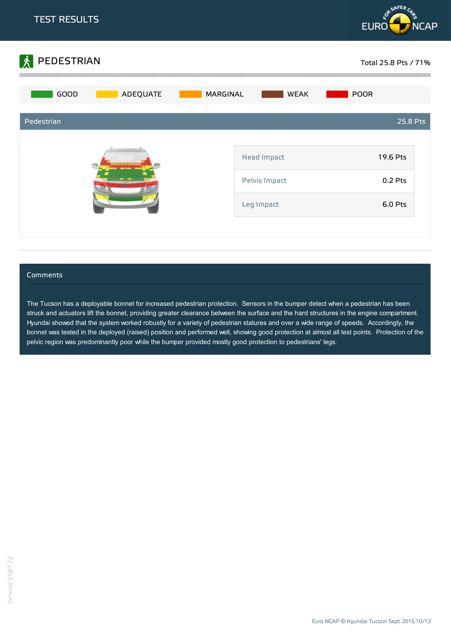



#### **Comments**

The Tucson has a deployable bonnet for increased pedestrian protection. Sensors in the bumper detect when a pedestrian has been struck and actuators lift the bonnet, providing greater clearance between the surface and the hard structures in the engine compartment. Hyundai showed that the system worked robustly for a variety of pedestrian statures and over a wide range of speeds. Accordingly, the bonnet was tested in the deployed (raised) position and performed well, showing good protection at almost all test points. Protection of the pelvic region was predominantly poor while the bumper provided mostly good protection to pedestrians' legs.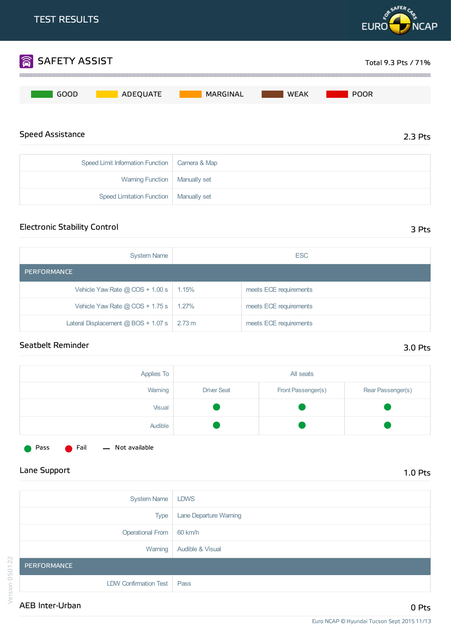

| Opecu Lillill illiuli illativi i ulictivi i califera od iviap |  |
|---------------------------------------------------------------|--|
| Warning Function   Manually set                               |  |
| Speed Limitation Function   Manually set                      |  |

## Electronic Stability Control 3 Pts

| <b>System Name</b>                               | <b>ESC</b> |                        |  |  |
|--------------------------------------------------|------------|------------------------|--|--|
| PERFORMANCE                                      |            |                        |  |  |
| Vehicle Yaw Rate $@$ COS + 1.00 s                | 1.15%      | meets ECE requirements |  |  |
| Vehicle Yaw Rate $@$ COS + 1.75 s                | $1.27\%$   | meets ECE requirements |  |  |
| Lateral Displacement $@$ BOS + 1.07 s $ $ 2.73 m |            | meets ECE requirements |  |  |

## Seatbelt Reminder 3.0 Pts

| Applies To | All seats          |                    |                   |
|------------|--------------------|--------------------|-------------------|
| Warning    | <b>Driver Seat</b> | Front Passenger(s) | Rear Passenger(s) |
| Visual     |                    |                    |                   |
| Audible    |                    |                    |                   |
|            |                    |                    |                   |



Pass **C** Fail - Not available

|         | <b>System Name</b>           | <b>LDWS</b>            |
|---------|------------------------------|------------------------|
|         | <b>Type</b>                  | Lane Departure Warning |
|         | <b>Operational From</b>      | 60 km/h                |
|         | Warning                      | Audible & Visual       |
| 050122  | PERFORMANCE                  |                        |
|         | <b>LDW Confirmation Test</b> | Pass                   |
| Version | AEB Inter-Urban              |                        |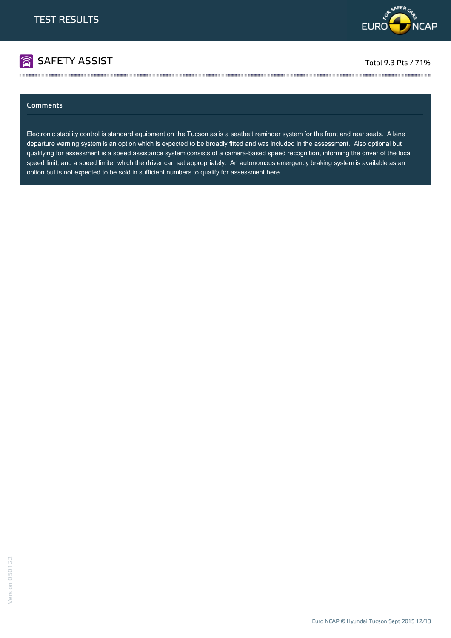

# **SAFETY ASSIST** The second of the second second second second second second second second second second second second second second second second second second second second second second second second second second second

#### Comments

Electronic stability control is standard equipment on the Tucson as is a seatbelt reminder system for the front and rear seats. A lane departure warning system is an option which is expected to be broadly fitted and was included in the assessment. Also optional but qualifying for assessment is a speed assistance system consists of a camera-based speed recognition, informing the driver of the local speed limit, and a speed limiter which the driver can set appropriately. An autonomous emergency braking system is available as an option but is not expected to be sold in sufficient numbers to qualify for assessment here.

the contract of the contract of the contract of the contract of the contract of the contract of the contract of